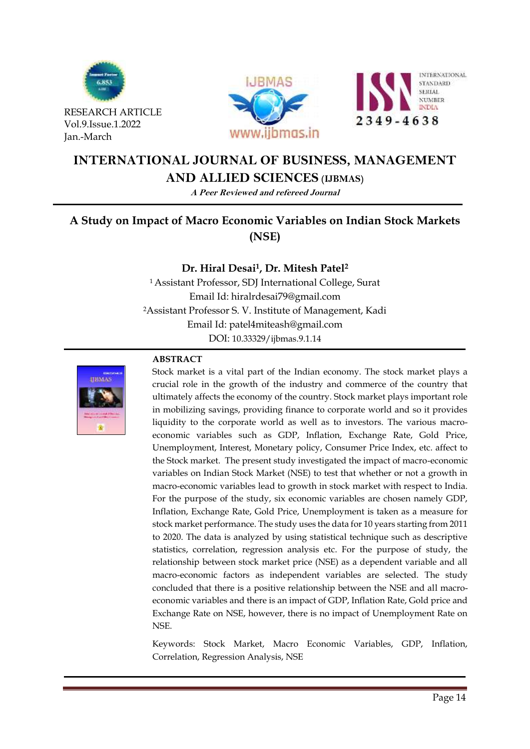





# **INTERNATIONAL JOURNAL OF BUSINESS, MANAGEMENT AND ALLIED SCIENCES (IJBMAS)**

**A Peer Reviewed and refereed Journal**

# **A Study on Impact of Macro Economic Variables on Indian Stock Markets (NSE)**

# **Dr. Hiral Desai1, Dr. Mitesh Patel<sup>2</sup>**

<sup>1</sup>Assistant Professor, SDJ International College, Surat Email Id: hiralrdesai79@gmail.com <sup>2</sup>Assistant Professor S. V. Institute of Management, Kadi Email Id: patel4miteash@gmail.com DOI: [10.33329/ijbmas.9.1.1](http://www.ijbmas.in/)4



# **ABSTRACT**

Stock market is a vital part of the Indian economy. The stock market plays a crucial role in the growth of the industry and commerce of the country that ultimately affects the economy of the country. Stock market plays important role in mobilizing savings, providing finance to corporate world and so it provides liquidity to the corporate world as well as to investors. The various macroeconomic variables such as GDP, Inflation, Exchange Rate, Gold Price, Unemployment, Interest, Monetary policy, Consumer Price Index, etc. affect to the Stock market. The present study investigated the impact of macro-economic variables on Indian Stock Market (NSE) to test that whether or not a growth in macro-economic variables lead to growth in stock market with respect to India. For the purpose of the study, six economic variables are chosen namely GDP, Inflation, Exchange Rate, Gold Price, Unemployment is taken as a measure for stock market performance. The study uses the data for 10 years starting from 2011 to 2020. The data is analyzed by using statistical technique such as descriptive statistics, correlation, regression analysis etc. For the purpose of study, the relationship between stock market price (NSE) as a dependent variable and all macro-economic factors as independent variables are selected. The study concluded that there is a positive relationship between the NSE and all macroeconomic variables and there is an impact of GDP, Inflation Rate, Gold price and Exchange Rate on NSE, however, there is no impact of Unemployment Rate on NSE.

Keywords: Stock Market, Macro Economic Variables, GDP, Inflation, Correlation, Regression Analysis, NSE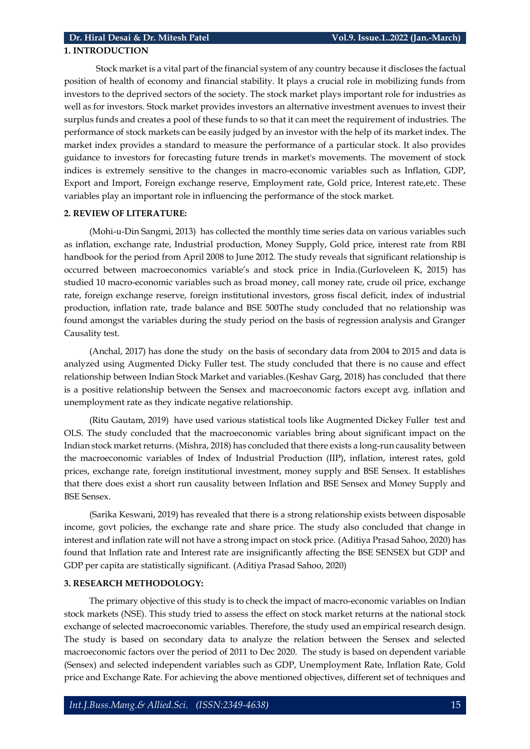#### **1. INTRODUCTION**

Stock market is a vital part of the financial system of any country because it discloses the factual position of health of economy and financial stability. It plays a crucial role in mobilizing funds from investors to the deprived sectors of the society. The stock market plays important role for industries as well as for investors. Stock market provides investors an alternative investment avenues to invest their surplus funds and creates a pool of these funds to so that it can meet the requirement of industries. The performance of stock markets can be easily judged by an investor with the help of its market index. The market index provides a standard to measure the performance of a particular stock. It also provides guidance to investors for forecasting future trends in market's movements. The movement of stock indices is extremely sensitive to the changes in macro-economic variables such as Inflation, GDP, Export and Import, Foreign exchange reserve, Employment rate, Gold price, Interest rate,etc. These variables play an important role in influencing the performance of the stock market.

#### **2. REVIEW OF LITERATURE:**

(Mohi-u-Din Sangmi, 2013) has collected the monthly time series data on various variables such as inflation, exchange rate, Industrial production, Money Supply, Gold price, interest rate from RBI handbook for the period from April 2008 to June 2012. The study reveals that significant relationship is occurred between macroeconomics variable's and stock price in India.(Gurloveleen K, 2015) has studied 10 macro-economic variables such as broad money, call money rate, crude oil price, exchange rate, foreign exchange reserve, foreign institutional investors, gross fiscal deficit, index of industrial production, inflation rate, trade balance and BSE 500The study concluded that no relationship was found amongst the variables during the study period on the basis of regression analysis and Granger Causality test.

(Anchal, 2017) has done the study on the basis of secondary data from 2004 to 2015 and data is analyzed using Augmented Dicky Fuller test. The study concluded that there is no cause and effect relationship between Indian Stock Market and variables.(Keshav Garg, 2018) has concluded that there is a positive relationship between the Sensex and macroeconomic factors except avg. inflation and unemployment rate as they indicate negative relationship.

(Ritu Gautam, 2019) have used various statistical tools like Augmented Dickey Fuller test and OLS. The study concluded that the macroeconomic variables bring about significant impact on the Indian stock market returns. (Mishra, 2018) has concluded that there exists a long-run causality between the macroeconomic variables of Index of Industrial Production (IIP), inflation, interest rates, gold prices, exchange rate, foreign institutional investment, money supply and BSE Sensex. It establishes that there does exist a short run causality between Inflation and BSE Sensex and Money Supply and BSE Sensex.

(Sarika Keswani, 2019) has revealed that there is a strong relationship exists between disposable income, govt policies, the exchange rate and share price. The study also concluded that change in interest and inflation rate will not have a strong impact on stock price. (Aditiya Prasad Sahoo, 2020) has found that Inflation rate and Interest rate are insignificantly affecting the BSE SENSEX but GDP and GDP per capita are statistically significant. (Aditiya Prasad Sahoo, 2020)

#### **3. RESEARCH METHODOLOGY:**

The primary objective of this study is to check the impact of macro-economic variables on Indian stock markets (NSE). This study tried to assess the effect on stock market returns at the national stock exchange of selected macroeconomic variables. Therefore, the study used an empirical research design. The study is based on secondary data to analyze the relation between the Sensex and selected macroeconomic factors over the period of 2011 to Dec 2020. The study is based on dependent variable (Sensex) and selected independent variables such as GDP, Unemployment Rate, Inflation Rate, Gold price and Exchange Rate. For achieving the above mentioned objectives, different set of techniques and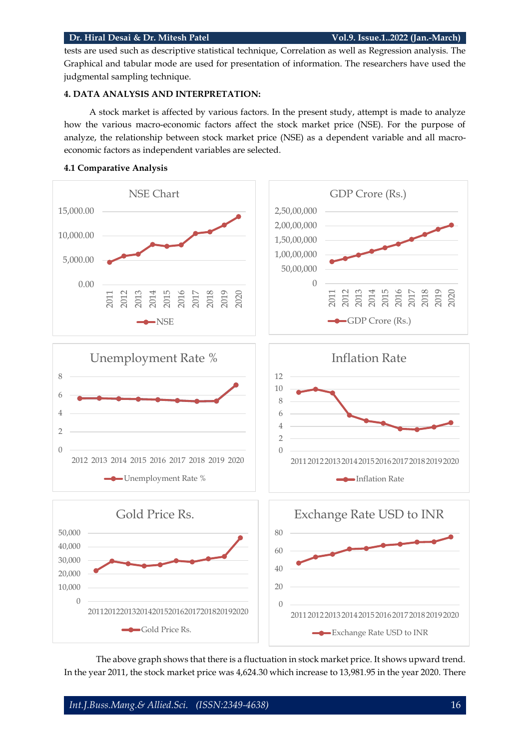#### **Dr. Hiral Desai & Dr. Mitesh Patel Vol.9. Issue.1..2022 (Jan.-March)**

tests are used such as descriptive statistical technique, Correlation as well as Regression analysis. The Graphical and tabular mode are used for presentation of information. The researchers have used the judgmental sampling technique.

## **4. DATA ANALYSIS AND INTERPRETATION:**

A stock market is affected by various factors. In the present study, attempt is made to analyze how the various macro-economic factors affect the stock market price (NSE). For the purpose of analyze, the relationship between stock market price (NSE) as a dependent variable and all macroeconomic factors as independent variables are selected.



#### **4.1 Comparative Analysis**

The above graph shows that there is a fluctuation in stock market price. It shows upward trend. In the year 2011, the stock market price was 4,624.30 which increase to 13,981.95 in the year 2020. There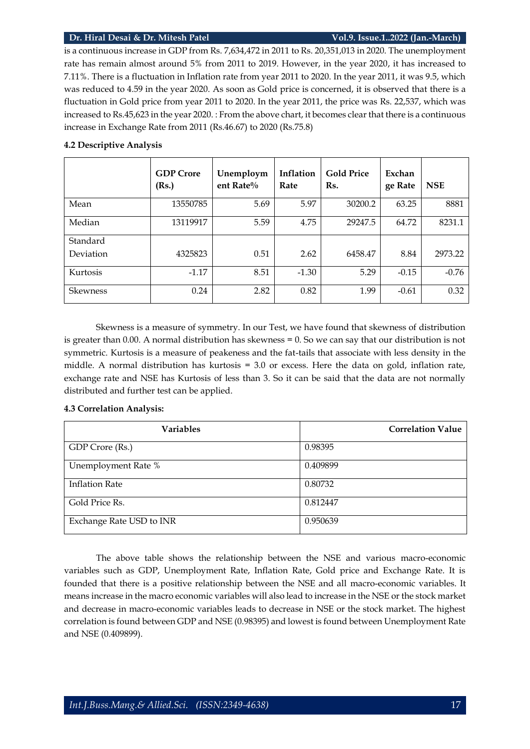#### **Dr. Hiral Desai & Dr. Mitesh Patel Vol.9. Issue.1..2022 (Jan.-March)**

is a continuous increase in GDP from Rs. 7,634,472 in 2011 to Rs. 20,351,013 in 2020. The unemployment rate has remain almost around 5% from 2011 to 2019. However, in the year 2020, it has increased to 7.11%. There is a fluctuation in Inflation rate from year 2011 to 2020. In the year 2011, it was 9.5, which was reduced to 4.59 in the year 2020. As soon as Gold price is concerned, it is observed that there is a fluctuation in Gold price from year 2011 to 2020. In the year 2011, the price was Rs. 22,537, which was increased to Rs.45,623 in the year 2020. : From the above chart, it becomes clear that there is a continuous increase in Exchange Rate from 2011 (Rs.46.67) to 2020 (Rs.75.8)

|           | <b>GDP</b> Crore<br>(Rs.) | Unemploym<br>ent Rate $\%$ | Inflation<br>Rate | <b>Gold Price</b><br>Rs. | Exchan<br>ge Rate | <b>NSE</b> |
|-----------|---------------------------|----------------------------|-------------------|--------------------------|-------------------|------------|
| Mean      | 13550785                  | 5.69                       | 5.97              | 30200.2                  | 63.25             | 8881       |
| Median    | 13119917                  | 5.59                       | 4.75              | 29247.5                  | 64.72             | 8231.1     |
| Standard  |                           |                            |                   |                          |                   |            |
| Deviation | 4325823                   | 0.51                       | 2.62              | 6458.47                  | 8.84              | 2973.22    |
| Kurtosis  | $-1.17$                   | 8.51                       | $-1.30$           | 5.29                     | $-0.15$           | $-0.76$    |
| Skewness  | 0.24                      | 2.82                       | 0.82              | 1.99                     | $-0.61$           | 0.32       |

#### **4.2 Descriptive Analysis**

Skewness is a measure of symmetry. In our Test, we have found that skewness of distribution is greater than 0.00. A normal distribution has skewness = 0. So we can say that our distribution is not symmetric. Kurtosis is a measure of peakeness and the fat-tails that associate with less density in the middle. A normal distribution has kurtosis = 3.0 or excess. Here the data on gold, inflation rate, exchange rate and NSE has Kurtosis of less than 3. So it can be said that the data are not normally distributed and further test can be applied.

#### **4.3 Correlation Analysis:**

| <b>Variables</b>         | <b>Correlation Value</b> |
|--------------------------|--------------------------|
| GDP Crore (Rs.)          | 0.98395                  |
| Unemployment Rate %      | 0.409899                 |
| <b>Inflation Rate</b>    | 0.80732                  |
| Gold Price Rs.           | 0.812447                 |
| Exchange Rate USD to INR | 0.950639                 |

The above table shows the relationship between the NSE and various macro-economic variables such as GDP, Unemployment Rate, Inflation Rate, Gold price and Exchange Rate. It is founded that there is a positive relationship between the NSE and all macro-economic variables. It means increase in the macro economic variables will also lead to increase in the NSE or the stock market and decrease in macro-economic variables leads to decrease in NSE or the stock market. The highest correlation is found between GDP and NSE (0.98395) and lowest is found between Unemployment Rate and NSE (0.409899).